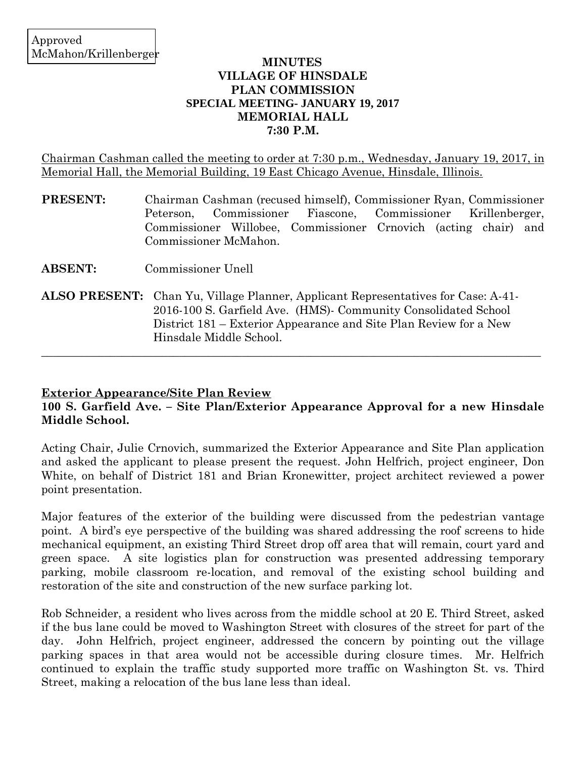## **MINUTES VILLAGE OF HINSDALE PLAN COMMISSION SPECIAL MEETING- JANUARY 19, 2017 MEMORIAL HALL 7:30 P.M.**

Chairman Cashman called the meeting to order at 7:30 p.m., Wednesday, January 19, 2017, in Memorial Hall, the Memorial Building, 19 East Chicago Avenue, Hinsdale, Illinois.

- **PRESENT:** Chairman Cashman (recused himself), Commissioner Ryan, Commissioner Peterson, Commissioner Fiascone, Commissioner Krillenberger, Commissioner Willobee, Commissioner Crnovich (acting chair) and Commissioner McMahon.
- **ABSENT:** Commissioner Unell
- **ALSO PRESENT:** Chan Yu, Village Planner, Applicant Representatives for Case: A-41- 2016-100 S. Garfield Ave. (HMS)- Community Consolidated School District 181 – Exterior Appearance and Site Plan Review for a New Hinsdale Middle School.

# **Exterior Appearance/Site Plan Review**

# **100 S. Garfield Ave. – Site Plan/Exterior Appearance Approval for a new Hinsdale Middle School.**

 $\_$  , and the set of the set of the set of the set of the set of the set of the set of the set of the set of the set of the set of the set of the set of the set of the set of the set of the set of the set of the set of th

Acting Chair, Julie Crnovich, summarized the Exterior Appearance and Site Plan application and asked the applicant to please present the request. John Helfrich, project engineer, Don White, on behalf of District 181 and Brian Kronewitter, project architect reviewed a power point presentation.

Major features of the exterior of the building were discussed from the pedestrian vantage point. A bird's eye perspective of the building was shared addressing the roof screens to hide mechanical equipment, an existing Third Street drop off area that will remain, court yard and green space. A site logistics plan for construction was presented addressing temporary parking, mobile classroom re-location, and removal of the existing school building and restoration of the site and construction of the new surface parking lot.

Rob Schneider, a resident who lives across from the middle school at 20 E. Third Street, asked if the bus lane could be moved to Washington Street with closures of the street for part of the day. John Helfrich, project engineer, addressed the concern by pointing out the village parking spaces in that area would not be accessible during closure times. Mr. Helfrich continued to explain the traffic study supported more traffic on Washington St. vs. Third Street, making a relocation of the bus lane less than ideal.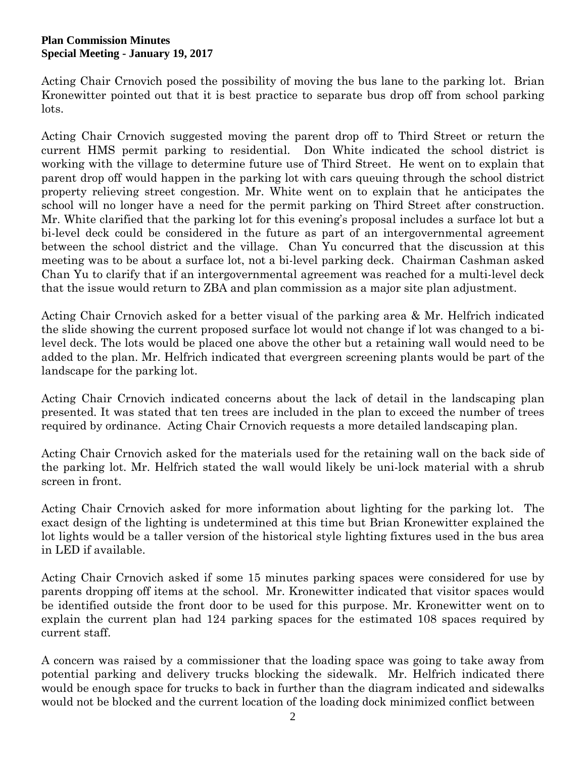Acting Chair Crnovich posed the possibility of moving the bus lane to the parking lot. Brian Kronewitter pointed out that it is best practice to separate bus drop off from school parking lots.

Acting Chair Crnovich suggested moving the parent drop off to Third Street or return the current HMS permit parking to residential. Don White indicated the school district is working with the village to determine future use of Third Street. He went on to explain that parent drop off would happen in the parking lot with cars queuing through the school district property relieving street congestion. Mr. White went on to explain that he anticipates the school will no longer have a need for the permit parking on Third Street after construction. Mr. White clarified that the parking lot for this evening's proposal includes a surface lot but a bi-level deck could be considered in the future as part of an intergovernmental agreement between the school district and the village. Chan Yu concurred that the discussion at this meeting was to be about a surface lot, not a bi-level parking deck. Chairman Cashman asked Chan Yu to clarify that if an intergovernmental agreement was reached for a multi-level deck that the issue would return to ZBA and plan commission as a major site plan adjustment.

Acting Chair Crnovich asked for a better visual of the parking area & Mr. Helfrich indicated the slide showing the current proposed surface lot would not change if lot was changed to a bilevel deck. The lots would be placed one above the other but a retaining wall would need to be added to the plan. Mr. Helfrich indicated that evergreen screening plants would be part of the landscape for the parking lot.

Acting Chair Crnovich indicated concerns about the lack of detail in the landscaping plan presented. It was stated that ten trees are included in the plan to exceed the number of trees required by ordinance. Acting Chair Crnovich requests a more detailed landscaping plan.

Acting Chair Crnovich asked for the materials used for the retaining wall on the back side of the parking lot. Mr. Helfrich stated the wall would likely be uni-lock material with a shrub screen in front.

Acting Chair Crnovich asked for more information about lighting for the parking lot. The exact design of the lighting is undetermined at this time but Brian Kronewitter explained the lot lights would be a taller version of the historical style lighting fixtures used in the bus area in LED if available.

Acting Chair Crnovich asked if some 15 minutes parking spaces were considered for use by parents dropping off items at the school. Mr. Kronewitter indicated that visitor spaces would be identified outside the front door to be used for this purpose. Mr. Kronewitter went on to explain the current plan had 124 parking spaces for the estimated 108 spaces required by current staff.

A concern was raised by a commissioner that the loading space was going to take away from potential parking and delivery trucks blocking the sidewalk. Mr. Helfrich indicated there would be enough space for trucks to back in further than the diagram indicated and sidewalks would not be blocked and the current location of the loading dock minimized conflict between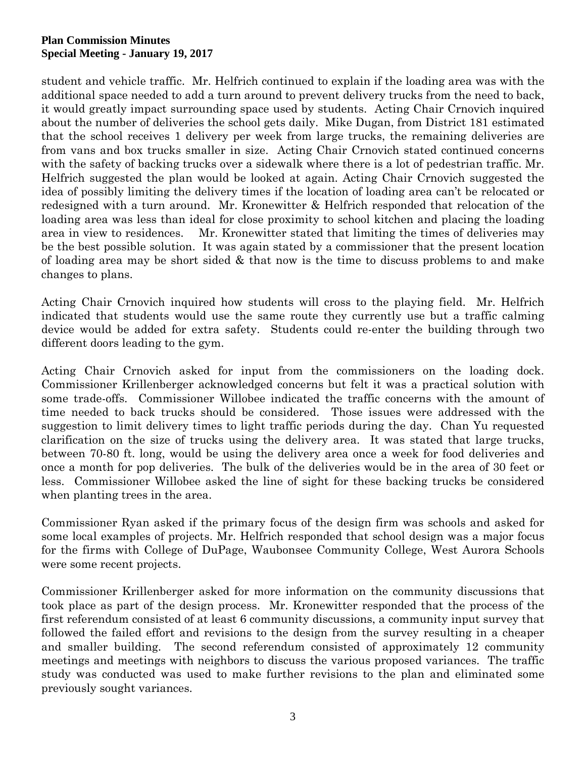student and vehicle traffic. Mr. Helfrich continued to explain if the loading area was with the additional space needed to add a turn around to prevent delivery trucks from the need to back, it would greatly impact surrounding space used by students. Acting Chair Crnovich inquired about the number of deliveries the school gets daily. Mike Dugan, from District 181 estimated that the school receives 1 delivery per week from large trucks, the remaining deliveries are from vans and box trucks smaller in size. Acting Chair Crnovich stated continued concerns with the safety of backing trucks over a sidewalk where there is a lot of pedestrian traffic. Mr. Helfrich suggested the plan would be looked at again. Acting Chair Crnovich suggested the idea of possibly limiting the delivery times if the location of loading area can't be relocated or redesigned with a turn around. Mr. Kronewitter & Helfrich responded that relocation of the loading area was less than ideal for close proximity to school kitchen and placing the loading area in view to residences. Mr. Kronewitter stated that limiting the times of deliveries may be the best possible solution. It was again stated by a commissioner that the present location of loading area may be short sided & that now is the time to discuss problems to and make changes to plans.

Acting Chair Crnovich inquired how students will cross to the playing field. Mr. Helfrich indicated that students would use the same route they currently use but a traffic calming device would be added for extra safety. Students could re-enter the building through two different doors leading to the gym.

Acting Chair Crnovich asked for input from the commissioners on the loading dock. Commissioner Krillenberger acknowledged concerns but felt it was a practical solution with some trade-offs. Commissioner Willobee indicated the traffic concerns with the amount of time needed to back trucks should be considered. Those issues were addressed with the suggestion to limit delivery times to light traffic periods during the day. Chan Yu requested clarification on the size of trucks using the delivery area. It was stated that large trucks, between 70-80 ft. long, would be using the delivery area once a week for food deliveries and once a month for pop deliveries. The bulk of the deliveries would be in the area of 30 feet or less. Commissioner Willobee asked the line of sight for these backing trucks be considered when planting trees in the area.

Commissioner Ryan asked if the primary focus of the design firm was schools and asked for some local examples of projects. Mr. Helfrich responded that school design was a major focus for the firms with College of DuPage, Waubonsee Community College, West Aurora Schools were some recent projects.

Commissioner Krillenberger asked for more information on the community discussions that took place as part of the design process. Mr. Kronewitter responded that the process of the first referendum consisted of at least 6 community discussions, a community input survey that followed the failed effort and revisions to the design from the survey resulting in a cheaper and smaller building. The second referendum consisted of approximately 12 community meetings and meetings with neighbors to discuss the various proposed variances. The traffic study was conducted was used to make further revisions to the plan and eliminated some previously sought variances.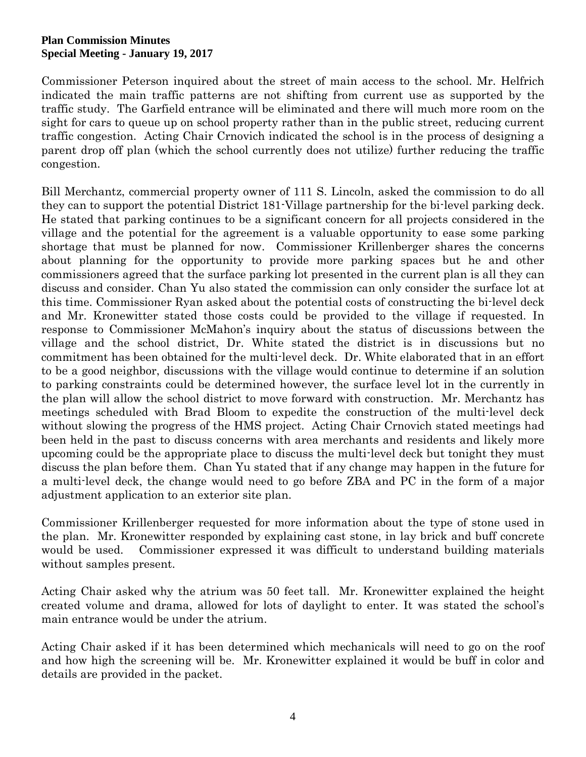Commissioner Peterson inquired about the street of main access to the school. Mr. Helfrich indicated the main traffic patterns are not shifting from current use as supported by the traffic study. The Garfield entrance will be eliminated and there will much more room on the sight for cars to queue up on school property rather than in the public street, reducing current traffic congestion. Acting Chair Crnovich indicated the school is in the process of designing a parent drop off plan (which the school currently does not utilize) further reducing the traffic congestion.

Bill Merchantz, commercial property owner of 111 S. Lincoln, asked the commission to do all they can to support the potential District 181-Village partnership for the bi-level parking deck. He stated that parking continues to be a significant concern for all projects considered in the village and the potential for the agreement is a valuable opportunity to ease some parking shortage that must be planned for now. Commissioner Krillenberger shares the concerns about planning for the opportunity to provide more parking spaces but he and other commissioners agreed that the surface parking lot presented in the current plan is all they can discuss and consider. Chan Yu also stated the commission can only consider the surface lot at this time. Commissioner Ryan asked about the potential costs of constructing the bi-level deck and Mr. Kronewitter stated those costs could be provided to the village if requested. In response to Commissioner McMahon's inquiry about the status of discussions between the village and the school district, Dr. White stated the district is in discussions but no commitment has been obtained for the multi-level deck. Dr. White elaborated that in an effort to be a good neighbor, discussions with the village would continue to determine if an solution to parking constraints could be determined however, the surface level lot in the currently in the plan will allow the school district to move forward with construction. Mr. Merchantz has meetings scheduled with Brad Bloom to expedite the construction of the multi-level deck without slowing the progress of the HMS project. Acting Chair Crnovich stated meetings had been held in the past to discuss concerns with area merchants and residents and likely more upcoming could be the appropriate place to discuss the multi-level deck but tonight they must discuss the plan before them. Chan Yu stated that if any change may happen in the future for a multi-level deck, the change would need to go before ZBA and PC in the form of a major adjustment application to an exterior site plan.

Commissioner Krillenberger requested for more information about the type of stone used in the plan. Mr. Kronewitter responded by explaining cast stone, in lay brick and buff concrete would be used. Commissioner expressed it was difficult to understand building materials without samples present.

Acting Chair asked why the atrium was 50 feet tall. Mr. Kronewitter explained the height created volume and drama, allowed for lots of daylight to enter. It was stated the school's main entrance would be under the atrium.

Acting Chair asked if it has been determined which mechanicals will need to go on the roof and how high the screening will be. Mr. Kronewitter explained it would be buff in color and details are provided in the packet.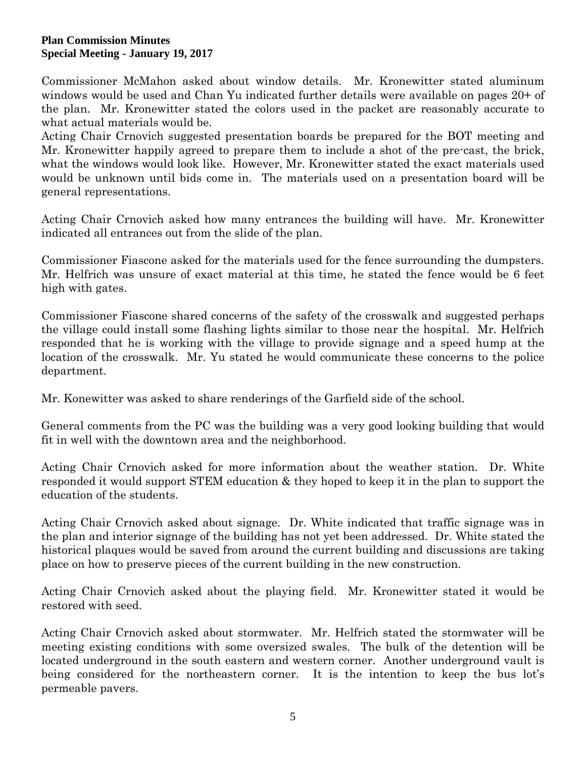Commissioner McMahon asked about window details. Mr. Kronewitter stated aluminum windows would be used and Chan Yu indicated further details were available on pages 20+ of the plan. Mr. Kronewitter stated the colors used in the packet are reasonably accurate to what actual materials would be.

Acting Chair Crnovich suggested presentation boards be prepared for the BOT meeting and Mr. Kronewitter happily agreed to prepare them to include a shot of the pre-cast, the brick, what the windows would look like. However, Mr. Kronewitter stated the exact materials used would be unknown until bids come in. The materials used on a presentation board will be general representations.

Acting Chair Crnovich asked how many entrances the building will have. Mr. Kronewitter indicated all entrances out from the slide of the plan.

Commissioner Fiascone asked for the materials used for the fence surrounding the dumpsters. Mr. Helfrich was unsure of exact material at this time, he stated the fence would be 6 feet high with gates.

Commissioner Fiascone shared concerns of the safety of the crosswalk and suggested perhaps the village could install some flashing lights similar to those near the hospital. Mr. Helfrich responded that he is working with the village to provide signage and a speed hump at the location of the crosswalk. Mr. Yu stated he would communicate these concerns to the police department.

Mr. Konewitter was asked to share renderings of the Garfield side of the school.

General comments from the PC was the building was a very good looking building that would fit in well with the downtown area and the neighborhood.

Acting Chair Crnovich asked for more information about the weather station. Dr. White responded it would support STEM education & they hoped to keep it in the plan to support the education of the students.

Acting Chair Crnovich asked about signage. Dr. White indicated that traffic signage was in the plan and interior signage of the building has not yet been addressed. Dr. White stated the historical plaques would be saved from around the current building and discussions are taking place on how to preserve pieces of the current building in the new construction.

Acting Chair Crnovich asked about the playing field. Mr. Kronewitter stated it would be restored with seed.

Acting Chair Crnovich asked about stormwater. Mr. Helfrich stated the stormwater will be meeting existing conditions with some oversized swales. The bulk of the detention will be located underground in the south eastern and western corner. Another underground vault is being considered for the northeastern corner. It is the intention to keep the bus lot's permeable pavers.